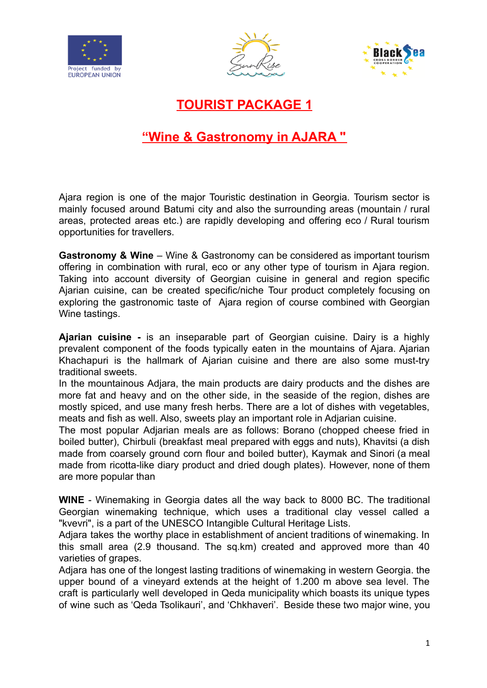





**TOURIST PACKAGE 1**

## **"Wine & Gastronomy in AJARA "**

Ajara region is one of the major Touristic destination in Georgia. Tourism sector is mainly focused around Batumi city and also the surrounding areas (mountain / rural areas, protected areas etc.) are rapidly developing and offering eco / Rural tourism opportunities for travellers.

**Gastronomy & Wine** – Wine & Gastronomy can be considered as important tourism offering in combination with rural, eco or any other type of tourism in Ajara region. Taking into account diversity of Georgian cuisine in general and region specific Ajarian cuisine, can be created specific/niche Tour product completely focusing on exploring the gastronomic taste of Ajara region of course combined with Georgian Wine tastings.

**Ajarian cuisine -** is an inseparable part of Georgian cuisine. Dairy is a highly prevalent component of the foods typically eaten in the mountains of Ajara. Ajarian Khachapuri is the hallmark of Ajarian cuisine and there are also some must-try traditional sweets.

In the mountainous Adjara, the main products are dairy products and the dishes are more fat and heavy and on the other side, in the seaside of the region, dishes are mostly spiced, and use many fresh herbs. There are a lot of dishes with vegetables, meats and fish as well. Also, sweets play an important role in Adjarian cuisine.

The most popular Adjarian meals are as follows: Borano (chopped cheese fried in boiled butter), Chirbuli (breakfast meal prepared with eggs and nuts), Khavitsi (a dish made from coarsely ground corn flour and boiled butter), Kaymak and Sinori (a meal made from ricotta-like diary product and dried dough plates). However, none of them are more popular than

**WINE** - Winemaking in Georgia dates all the way back to 8000 BC. The traditional Georgian winemaking technique, which uses a traditional clay vessel called a "kvevri", is a part of the UNESCO Intangible Cultural Heritage Lists.

Adjara takes the worthy place in establishment of ancient traditions of winemaking. In this small area (2.9 thousand. The sq.km) created and approved more than 40 varieties of grapes.

Adjara has one of the longest lasting traditions of winemaking in western Georgia. the upper bound of a vineyard extends at the height of 1.200 m above sea level. The craft is particularly well developed in Qeda municipality which boasts its unique types of wine such as 'Qeda Tsolikauri', and 'Chkhaveri'. Beside these two major wine, you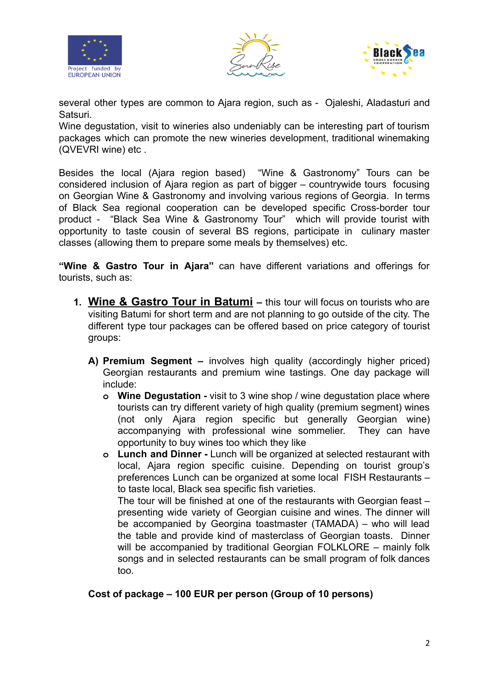





several other types are common to Ajara region, such as - Ojaleshi, Aladasturi and Satsuri.

Wine degustation, visit to wineries also undeniably can be interesting part of tourism packages which can promote the new wineries development, traditional winemaking (QVEVRI wine) etc .

Besides the local (Ajara region based) "Wine & Gastronomy" Tours can be considered inclusion of Ajara region as part of bigger – countrywide tours focusing on Georgian Wine & Gastronomy and involving various regions of Georgia. In terms of Black Sea regional cooperation can be developed specific Cross-border tour product - "Black Sea Wine & Gastronomy Tour" which will provide tourist with opportunity to taste cousin of several BS regions, participate in culinary master classes (allowing them to prepare some meals by themselves) etc.

**"Wine & Gastro Tour in Ajara"** can have different variations and offerings for tourists, such as:

- **1. Wine & Gastro Tour in Batumi –** this tour will focus on tourists who are visiting Batumi for short term and are not planning to go outside of the city. The different type tour packages can be offered based on price category of tourist groups:
	- **A) Premium Segment –** involves high quality (accordingly higher priced) Georgian restaurants and premium wine tastings. One day package will include:
		- **o Wine Degustation -** visit to 3 wine shop / wine degustation place where tourists can try different variety of high quality (premium segment) wines (not only Ajara region specific but generally Georgian wine) accompanying with professional wine sommelier. They can have opportunity to buy wines too which they like
		- **o Lunch and Dinner -** Lunch will be organized at selected restaurant with local, Ajara region specific cuisine. Depending on tourist group's preferences Lunch can be organized at some local FISH Restaurants – to taste local, Black sea specific fish varieties.

The tour will be finished at one of the restaurants with Georgian feast – presenting wide variety of Georgian cuisine and wines. The dinner will be accompanied by Georgina toastmaster (TAMADA) – who will lead the table and provide kind of masterclass of Georgian toasts. Dinner will be accompanied by traditional Georgian FOLKLORE – mainly folk songs and in selected restaurants can be small program of folk dances too.

#### **Cost of package – 100 EUR per person (Group of 10 persons)**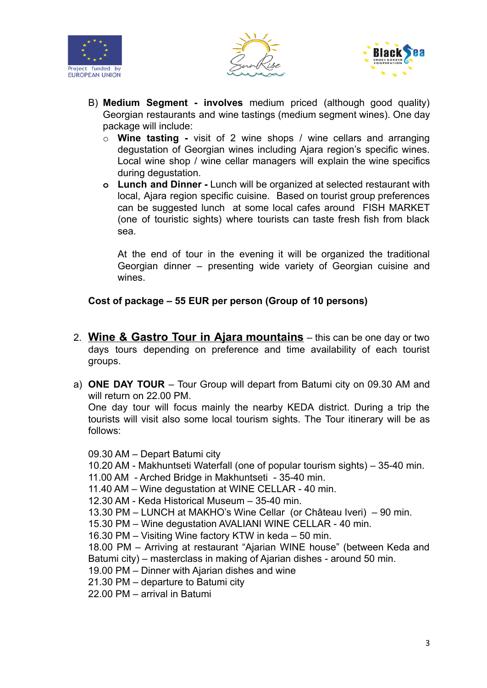





- B) **Medium Segment - involves** medium priced (although good quality) Georgian restaurants and wine tastings (medium segment wines). One day package will include:
	- o **Wine tasting -** visit of 2 wine shops / wine cellars and arranging degustation of Georgian wines including Ajara region's specific wines. Local wine shop / wine cellar managers will explain the wine specifics during degustation.
	- **o Lunch and Dinner -** Lunch will be organized at selected restaurant with local, Ajara region specific cuisine. Based on tourist group preferences can be suggested lunch at some local cafes around FISH MARKET (one of touristic sights) where tourists can taste fresh fish from black sea.

At the end of tour in the evening it will be organized the traditional Georgian dinner – presenting wide variety of Georgian cuisine and wines.

## **Cost of package – 55 EUR per person (Group of 10 persons)**

- 2. **Wine & Gastro Tour in Ajara mountains** this can be one day or two days tours depending on preference and time availability of each tourist groups.
- a) **ONE DAY TOUR** Tour Group will depart from Batumi city on 09.30 AM and will return on 22.00 PM.

One day tour will focus mainly the nearby KEDA district. During a trip the tourists will visit also some local tourism sights. The Tour itinerary will be as follows:

09.30 AM – Depart Batumi city

10.20 AM - Makhuntseti Waterfall (one of popular tourism sights) – 35-40 min.

11.00 AM - Arched Bridge in Makhuntseti - 35-40 min.

11.40 AM – Wine degustation at WINE CELLAR - 40 min.

12.30 AM - Keda Historical Museum – 35-40 min.

13.30 PM – LUNCH at MAKHO's Wine Cellar (or Château Iveri) – 90 min.

15.30 PM – Wine degustation AVALIANI WINE CELLAR - 40 min.

16.30 PM – Visiting Wine factory KTW in keda – 50 min.

18.00 PM – Arriving at restaurant "Ajarian WINE house" (between Keda and Batumi city) – masterclass in making of Ajarian dishes - around 50 min.

- 19.00 PM Dinner with Ajarian dishes and wine
- 21.30 PM departure to Batumi city

22.00 PM – arrival in Batumi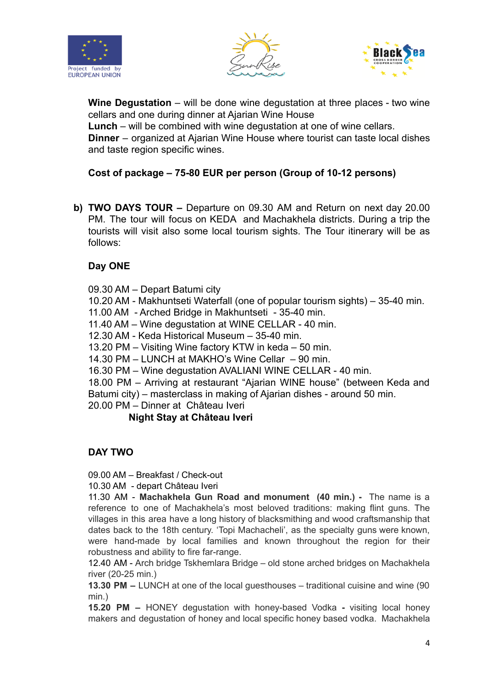





**Wine Degustation** – will be done wine degustation at three places - two wine cellars and one during dinner at Ajarian Wine House

**Lunch** – will be combined with wine degustation at one of wine cellars.

**Dinner** – organized at Ajarian Wine House where tourist can taste local dishes and taste region specific wines.

## **Cost of package – 75-80 EUR per person (Group of 10-12 persons)**

**b) TWO DAYS TOUR –** Departure on 09.30 AM and Return on next day 20.00 PM. The tour will focus on KEDA and Machakhela districts. During a trip the tourists will visit also some local tourism sights. The Tour itinerary will be as follows:

## **Day ONE**

09.30 AM – Depart Batumi city

10.20 AM - Makhuntseti Waterfall (one of popular tourism sights) – 35-40 min.

11.00 AM - Arched Bridge in Makhuntseti - 35-40 min.

11.40 AM – Wine degustation at WINE CELLAR - 40 min.

12.30 AM - Keda Historical Museum – 35-40 min.

13.20 PM – Visiting Wine factory KTW in keda – 50 min.

14.30 PM – LUNCH at MAKHO's Wine Cellar – 90 min.

16.30 PM – Wine degustation AVALIANI WINE CELLAR - 40 min.

18.00 PM – Arriving at restaurant "Ajarian WINE house" (between Keda and Batumi city) – masterclass in making of Ajarian dishes - around 50 min.

20.00 PM – Dinner at Château Iveri

## **Night Stay at Château Iveri**

## **DAY TWO**

09.00 AM – Breakfast / Check-out

10.30 AM - depart Château Iveri

11.30 AM - **Machakhela Gun Road and monument (40 min.) -** The name is a reference to one of Machakhela's most beloved traditions: making flint guns. The villages in this area have a long history of blacksmithing and wood craftsmanship that dates back to the 18th century. 'Topi Machacheli', as the specialty guns were known, were hand-made by local families and known throughout the region for their robustness and ability to fire far-range.

12.40 AM - Arch bridge Tskhemlara Bridge – old stone arched bridges on Machakhela river (20-25 min.)

**13.30 PM –** LUNCH at one of the local guesthouses – traditional cuisine and wine (90 min.)

**15.20 PM –** HONEY degustation with honey-based Vodka **-** visiting local honey makers and degustation of honey and local specific honey based vodka. Machakhela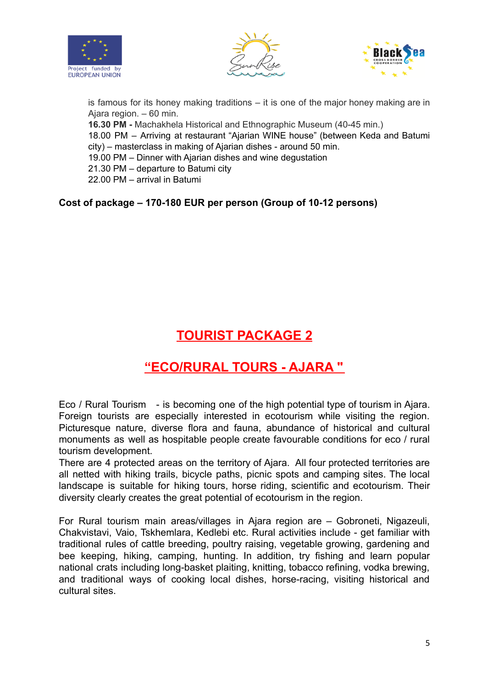





is famous for its honey making traditions – it is one of the major honey making are in Ajara region. – 60 min. **16.30 PM -** Machakhela Historical and Ethnographic Museum (40-45 min.) 18.00 PM – Arriving at restaurant "Ajarian WINE house" (between Keda and Batumi city) – masterclass in making of Ajarian dishes - around 50 min. 19.00 PM – Dinner with Ajarian dishes and wine degustation 21.30 PM – departure to Batumi city 22.00 PM – arrival in Batumi

**Cost of package – 170-180 EUR per person (Group of 10-12 persons)**

# **TOURIST PACKAGE 2**

## **"ECO/RURAL TOURS - AJARA "**

Eco / Rural Tourism - is becoming one of the high potential type of tourism in Ajara. Foreign tourists are especially interested in ecotourism while visiting the region. Picturesque nature, diverse flora and fauna, abundance of historical and cultural monuments as well as hospitable people create favourable conditions for eco / rural tourism development.

There are 4 protected areas on the territory of Ajara. All four protected territories are all netted with hiking trails, bicycle paths, picnic spots and camping sites. The local landscape is suitable for hiking tours, horse riding, scientific and ecotourism. Their diversity clearly creates the great potential of ecotourism in the region.

For Rural tourism main areas/villages in Ajara region are – Gobroneti, Nigazeuli, Chakvistavi, Vaio, Tskhemlara, Kedlebi etc. Rural activities include - get familiar with traditional rules of cattle breeding, poultry raising, vegetable growing, gardening and bee keeping, hiking, camping, hunting. In addition, try fishing and learn popular national crats including long-basket plaiting, knitting, tobacco refining, vodka brewing, and traditional ways of cooking local dishes, horse-racing, visiting historical and cultural sites.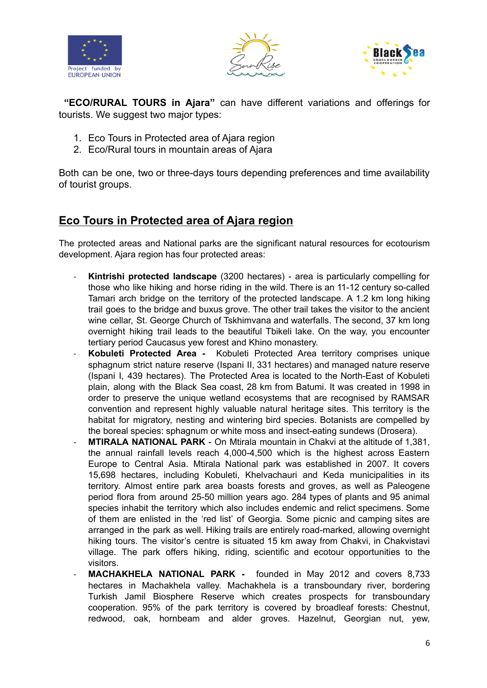





**"ECO/RURAL TOURS in Ajara"** can have different variations and offerings for tourists. We suggest two major types:

- 1. Eco Tours in Protected area of Ajara region
- 2. Eco/Rural tours in mountain areas of Ajara

Both can be one, two or three-days tours depending preferences and time availability of tourist groups.

## **Eco Tours in Protected area of Ajara region**

The protected areas and National parks are the significant natural resources for ecotourism development. Ajara region has four protected areas:

- **Kintrishi protected landscape** (3200 hectares) area is particularly compelling for those who like hiking and horse riding in the wild. There is an 11-12 century so-called Tamari arch bridge on the territory of the protected landscape. A 1.2 km long hiking trail goes to the bridge and buxus grove. The other trail takes the visitor to the ancient wine cellar, St. George Church of Tskhimvana and waterfalls. The second, 37 km long overnight hiking trail leads to the beautiful Tbikeli lake. On the way, you encounter tertiary period Caucasus yew forest and Khino monastery.
- **Kobuleti Protected Area -** Kobuleti Protected Area territory comprises unique sphagnum strict nature reserve (Ispani II, 331 hectares) and managed nature reserve (Ispani I, 439 hectares). The Protected Area is located to the North-East of Kobuleti plain, along with the Black Sea coast, 28 km from Batumi. It was created in 1998 in order to preserve the unique wetland ecosystems that are recognised by RAMSAR convention and represent highly valuable natural heritage sites. This territory is the habitat for migratory, nesting and wintering bird species. Botanists are compelled by the boreal species: sphagnum or white moss and insect-eating sundews (Drosera).
- **MTIRALA NATIONAL PARK** On Mtirala mountain in Chakvi at the altitude of 1,381, the annual rainfall levels reach 4,000-4,500 which is the highest across Eastern Europe to Central Asia. Mtirala National park was established in 2007. It covers 15,698 hectares, including Kobuleti, Khelvachauri and Keda municipalities in its territory. Almost entire park area boasts forests and groves, as well as Paleogene period flora from around 25-50 million years ago. 284 types of plants and 95 animal species inhabit the territory which also includes endemic and relict specimens. Some of them are enlisted in the 'red list' of Georgia. Some picnic and camping sites are arranged in the park as well. Hiking trails are entirely road-marked, allowing overnight hiking tours. The visitor's centre is situated 15 km away from Chakvi, in Chakvistavi village. The park offers hiking, riding, scientific and ecotour opportunities to the visitors.
- **MACHAKHELA NATIONAL PARK -** founded in May 2012 and covers 8,733 hectares in Machakhela valley. Machakhela is a transboundary river, bordering Turkish Jamil Biosphere Reserve which creates prospects for transboundary cooperation. 95% of the park territory is covered by broadleaf forests: Chestnut, redwood, oak, hornbeam and alder groves. Hazelnut, Georgian nut, yew,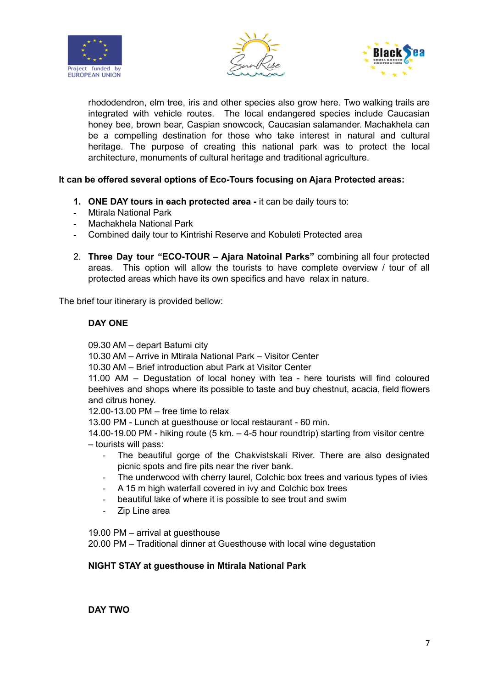





rhododendron, elm tree, iris and other species also grow here. Two walking trails are integrated with vehicle routes. The local endangered species include Caucasian honey bee, brown bear, Caspian snowcock, Caucasian salamander. Machakhela can be a compelling destination for those who take interest in natural and cultural heritage. The purpose of creating this national park was to protect the local architecture, monuments of cultural heritage and traditional agriculture.

#### **It can be offered several options of Eco-Tours focusing on Ajara Protected areas:**

- **1. ONE DAY tours in each protected area -** it can be daily tours to:
- **-** Mtirala National Park
- **-** Machakhela National Park
- **-** Combined daily tour to Kintrishi Reserve and Kobuleti Protected area
- 2. **Three Day tour "ECO-TOUR – Ajara Natoinal Parks"** combining all four protected areas. This option will allow the tourists to have complete overview / tour of all protected areas which have its own specifics and have relax in nature.

The brief tour itinerary is provided bellow:

#### **DAY ONE**

09.30 AM – depart Batumi city

10.30 AM – Arrive in Mtirala National Park – Visitor Center

10.30 AM – Brief introduction abut Park at Visitor Center

11.00 AM – Degustation of local honey with tea - here tourists will find coloured beehives and shops where its possible to taste and buy chestnut, acacia, field flowers and citrus honey.

12.00-13.00 PM – free time to relax

13.00 PM - Lunch at guesthouse or local restaurant - 60 min.

14.00-19.00 PM - hiking route (5 km. – 4-5 hour roundtrip) starting from visitor centre – tourists will pass:

- The beautiful gorge of the Chakvistskali River. There are also designated picnic spots and fire pits near the river bank.
- The underwood with cherry laurel, Colchic box trees and various types of ivies
- A 15 m high waterfall covered in ivy and Colchic box trees
- beautiful lake of where it is possible to see trout and swim
- Zip Line area

19.00 PM – arrival at guesthouse

20.00 PM – Traditional dinner at Guesthouse with local wine degustation

#### **NIGHT STAY at guesthouse in Mtirala National Park**

**DAY TWO**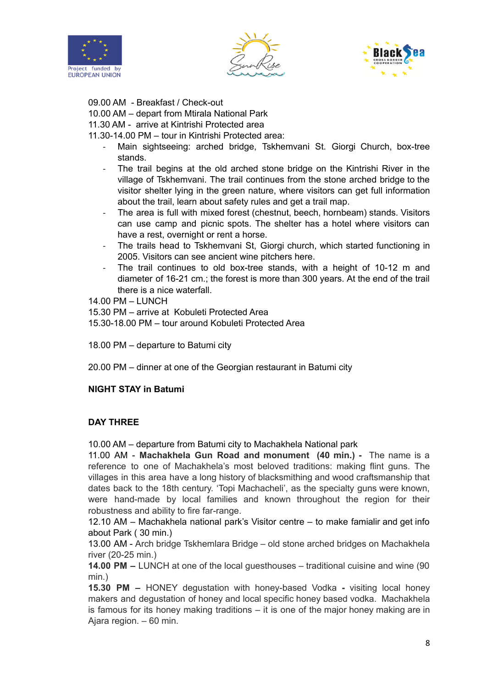





09.00 AM - Breakfast / Check-out

10.00 AM – depart from Mtirala National Park

11.30 AM - arrive at Kintrishi Protected area

11.30-14.00 PM – tour in Kintrishi Protected area:

- Main sightseeing: arched bridge, Tskhemvani St. Giorgi Church, box-tree stands.
- The trail begins at the old arched stone bridge on the Kintrishi River in the village of Tskhemvani. The trail continues from the stone arched bridge to the visitor shelter lying in the green nature, where visitors can get full information about the trail, learn about safety rules and get a trail map.
- The area is full with mixed forest (chestnut, beech, hornbeam) stands. Visitors can use camp and picnic spots. The shelter has a hotel where visitors can have a rest, overnight or rent a horse.
- The trails head to Tskhemvani St, Giorgi church, which started functioning in 2005. Visitors can see ancient wine pitchers here.
- The trail continues to old box-tree stands, with a height of 10-12 m and diameter of 16-21 cm.; the forest is more than 300 years. At the end of the trail there is a nice waterfall.

14.00 PM – LUNCH

15.30 PM – arrive at Kobuleti Protected Area

15.30-18.00 PM – tour around Kobuleti Protected Area

18.00 PM – departure to Batumi city

20.00 PM – dinner at one of the Georgian restaurant in Batumi city

#### **NIGHT STAY in Batumi**

#### **DAY THREE**

10.00 AM – departure from Batumi city to Machakhela National park

11.00 AM - **Machakhela Gun Road and monument (40 min.) -** The name is a reference to one of Machakhela's most beloved traditions: making flint guns. The villages in this area have a long history of blacksmithing and wood craftsmanship that dates back to the 18th century. 'Topi Machacheli', as the specialty guns were known, were hand-made by local families and known throughout the region for their robustness and ability to fire far-range.

12.10 AM – Machakhela national park's Visitor centre – to make famialir and get info about Park ( 30 min.)

13.00 AM - Arch bridge Tskhemlara Bridge – old stone arched bridges on Machakhela river (20-25 min.)

**14.00 PM –** LUNCH at one of the local guesthouses – traditional cuisine and wine (90 min.)

**15.30 PM –** HONEY degustation with honey-based Vodka **-** visiting local honey makers and degustation of honey and local specific honey based vodka. Machakhela is famous for its honey making traditions – it is one of the major honey making are in Ajara region. – 60 min.